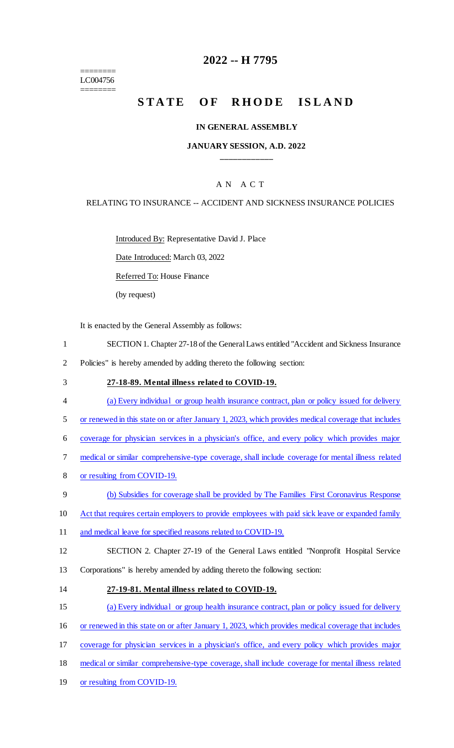======== LC004756 ========

## **2022 -- H 7795**

# STATE OF RHODE ISLAND

#### **IN GENERAL ASSEMBLY**

#### **JANUARY SESSION, A.D. 2022 \_\_\_\_\_\_\_\_\_\_\_\_**

## A N A C T

#### RELATING TO INSURANCE -- ACCIDENT AND SICKNESS INSURANCE POLICIES

Introduced By: Representative David J. Place

Date Introduced: March 03, 2022

Referred To: House Finance

(by request)

It is enacted by the General Assembly as follows:

- 1 SECTION 1. Chapter 27-18 of the General Laws entitled "Accident and Sickness Insurance
- 2 Policies" is hereby amended by adding thereto the following section:
- 3 **27-18-89. Mental illness related to COVID-19.**
- 4 (a) Every individual or group health insurance contract, plan or policy issued for delivery
- 5 or renewed in this state on or after January 1, 2023, which provides medical coverage that includes
- 6 coverage for physician services in a physician's office, and every policy which provides major
- 7 medical or similar comprehensive-type coverage, shall include coverage for mental illness related
- 8 or resulting from COVID-19.
- 9 (b) Subsidies for coverage shall be provided by The Families First Coronavirus Response
- 10 Act that requires certain employers to provide employees with paid sick leave or expanded family
- 11 and medical leave for specified reasons related to COVID-19.
- 12 SECTION 2. Chapter 27-19 of the General Laws entitled "Nonprofit Hospital Service 13 Corporations" is hereby amended by adding thereto the following section:
- 14 **27-19-81. Mental illness related to COVID-19.**
- 15 (a) Every individual or group health insurance contract, plan or policy issued for delivery
- 16 or renewed in this state on or after January 1, 2023, which provides medical coverage that includes
- 17 coverage for physician services in a physician's office, and every policy which provides major
- 18 medical or similar comprehensive-type coverage, shall include coverage for mental illness related
- 19 or resulting from COVID-19.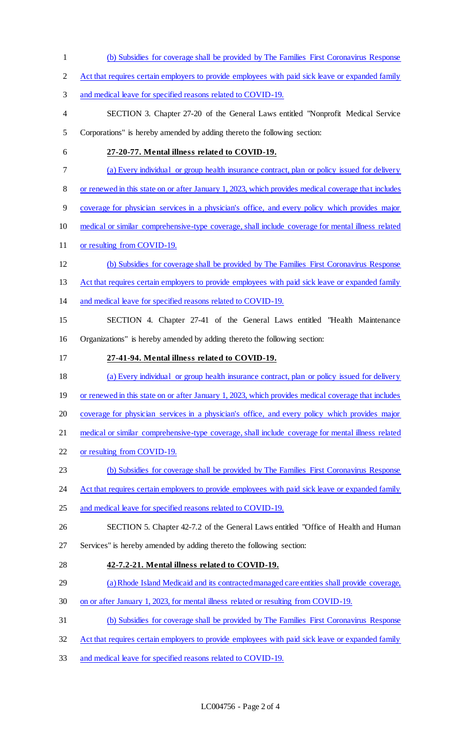- (b) Subsidies for coverage shall be provided by The Families First Coronavirus Response
- 2 Act that requires certain employers to provide employees with paid sick leave or expanded family
- and medical leave for specified reasons related to COVID-19.
- SECTION 3. Chapter 27-20 of the General Laws entitled "Nonprofit Medical Service Corporations" is hereby amended by adding thereto the following section:
- **27-20-77. Mental illness related to COVID-19.**
- (a) Every individual or group health insurance contract, plan or policy issued for delivery
- or renewed in this state on or after January 1, 2023, which provides medical coverage that includes
- coverage for physician services in a physician's office, and every policy which provides major
- medical or similar comprehensive-type coverage, shall include coverage for mental illness related
- 11 or resulting from COVID-19.
- (b) Subsidies for coverage shall be provided by The Families First Coronavirus Response
- 13 Act that requires certain employers to provide employees with paid sick leave or expanded family
- and medical leave for specified reasons related to COVID-19.
- SECTION 4. Chapter 27-41 of the General Laws entitled "Health Maintenance Organizations" is hereby amended by adding thereto the following section:
- **27-41-94. Mental illness related to COVID-19.**
- (a) Every individual or group health insurance contract, plan or policy issued for delivery
- 19 or renewed in this state on or after January 1, 2023, which provides medical coverage that includes
- coverage for physician services in a physician's office, and every policy which provides major
- 21 medical or similar comprehensive-type coverage, shall include coverage for mental illness related
- or resulting from COVID-19.
- (b) Subsidies for coverage shall be provided by The Families First Coronavirus Response
- 24 Act that requires certain employers to provide employees with paid sick leave or expanded family
- 25 and medical leave for specified reasons related to COVID-19.
- SECTION 5. Chapter 42-7.2 of the General Laws entitled "Office of Health and Human
- Services" is hereby amended by adding thereto the following section:
- **42-7.2-21. Mental illness related to COVID-19.**
- (a) Rhode Island Medicaid and its contracted managed care entities shall provide coverage,
- on or after January 1, 2023, for mental illness related or resulting from COVID-19.
- (b) Subsidies for coverage shall be provided by The Families First Coronavirus Response
- Act that requires certain employers to provide employees with paid sick leave or expanded family
- and medical leave for specified reasons related to COVID-19.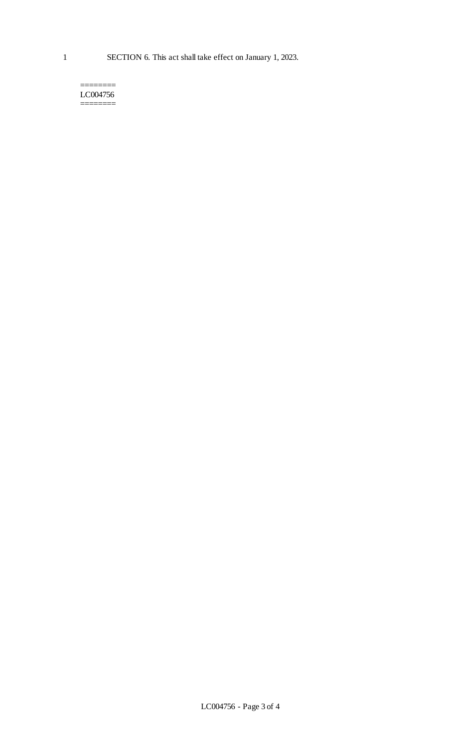======== LC004756 ========